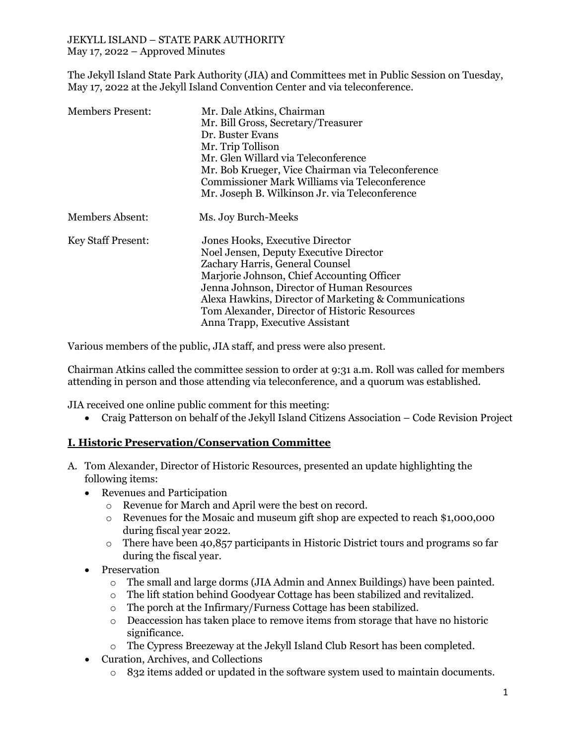The Jekyll Island State Park Authority (JIA) and Committees met in Public Session on Tuesday, May 17, 2022 at the Jekyll Island Convention Center and via teleconference.

| <b>Members Present:</b>   | Mr. Dale Atkins, Chairman<br>Mr. Bill Gross, Secretary/Treasurer<br>Dr. Buster Evans<br>Mr. Trip Tollison<br>Mr. Glen Willard via Teleconference<br>Mr. Bob Krueger, Vice Chairman via Teleconference<br>Commissioner Mark Williams via Teleconference<br>Mr. Joseph B. Wilkinson Jr. via Teleconference                                              |
|---------------------------|-------------------------------------------------------------------------------------------------------------------------------------------------------------------------------------------------------------------------------------------------------------------------------------------------------------------------------------------------------|
| Members Absent:           | Ms. Joy Burch-Meeks                                                                                                                                                                                                                                                                                                                                   |
| <b>Key Staff Present:</b> | Jones Hooks, Executive Director<br>Noel Jensen, Deputy Executive Director<br>Zachary Harris, General Counsel<br>Marjorie Johnson, Chief Accounting Officer<br>Jenna Johnson, Director of Human Resources<br>Alexa Hawkins, Director of Marketing & Communications<br>Tom Alexander, Director of Historic Resources<br>Anna Trapp, Executive Assistant |

Various members of the public, JIA staff, and press were also present.

Chairman Atkins called the committee session to order at 9:31 a.m. Roll was called for members attending in person and those attending via teleconference, and a quorum was established.

JIA received one online public comment for this meeting:

• Craig Patterson on behalf of the Jekyll Island Citizens Association – Code Revision Project

## **I. Historic Preservation/Conservation Committee**

- A. Tom Alexander, Director of Historic Resources, presented an update highlighting the following items:
	- Revenues and Participation
		- o Revenue for March and April were the best on record.
		- o Revenues for the Mosaic and museum gift shop are expected to reach \$1,000,000 during fiscal year 2022.
		- There have been  $40,857$  participants in Historic District tours and programs so far during the fiscal year.
	- Preservation
		- o The small and large dorms (JIA Admin and Annex Buildings) have been painted.
		- o The lift station behind Goodyear Cottage has been stabilized and revitalized.
		- o The porch at the Infirmary/Furness Cottage has been stabilized.
		- $\circ$  Deaccession has taken place to remove items from storage that have no historic significance.
		- o The Cypress Breezeway at the Jekyll Island Club Resort has been completed.
	- Curation, Archives, and Collections
		- $\circ$  832 items added or updated in the software system used to maintain documents.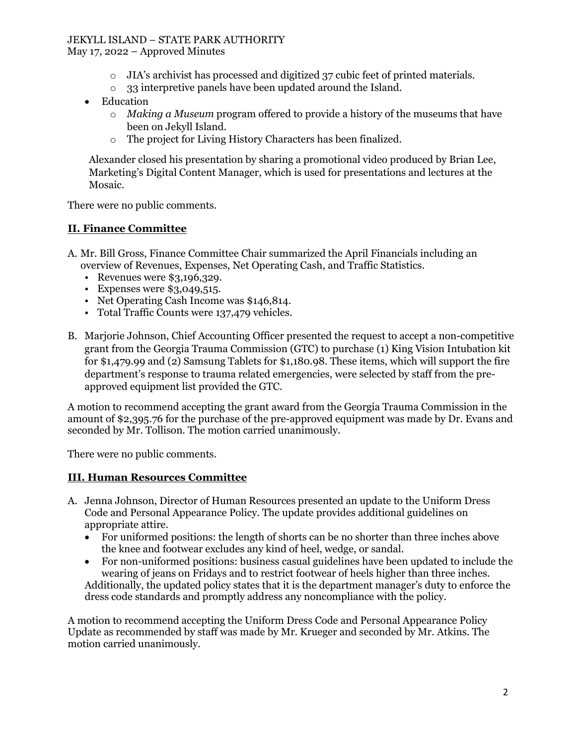## JEKYLL ISLAND – STATE PARK AUTHORITY

May 17, 2022 – Approved Minutes

- $\circ$  JIA's archivist has processed and digitized 37 cubic feet of printed materials.
- o 33 interpretive panels have been updated around the Island.
- **Education** 
	- o *Making a Museum* program offered to provide a history of the museums that have been on Jekyll Island.
	- o The project for Living History Characters has been finalized.

Alexander closed his presentation by sharing a promotional video produced by Brian Lee, Marketing's Digital Content Manager, which is used for presentations and lectures at the Mosaic.

There were no public comments.

### **II. Finance Committee**

- A. Mr. Bill Gross, Finance Committee Chair summarized the April Financials including an overview of Revenues, Expenses, Net Operating Cash, and Traffic Statistics.
	- Revenues were \$3,196,329.
	- Expenses were \$3,049,515.
	- Net Operating Cash Income was \$146,814.
	- Total Traffic Counts were 137,479 vehicles.
- B. Marjorie Johnson, Chief Accounting Officer presented the request to accept a non-competitive grant from the Georgia Trauma Commission (GTC) to purchase (1) King Vision Intubation kit for \$1,479.99 and (2) Samsung Tablets for \$1,180.98. These items, which will support the fire department's response to trauma related emergencies, were selected by staff from the preapproved equipment list provided the GTC.

A motion to recommend accepting the grant award from the Georgia Trauma Commission in the amount of \$2,395.76 for the purchase of the pre-approved equipment was made by Dr. Evans and seconded by Mr. Tollison. The motion carried unanimously.

There were no public comments.

### **III. Human Resources Committee**

- A. Jenna Johnson, Director of Human Resources presented an update to the Uniform Dress Code and Personal Appearance Policy. The update provides additional guidelines on appropriate attire.
	- For uniformed positions: the length of shorts can be no shorter than three inches above the knee and footwear excludes any kind of heel, wedge, or sandal.
	- For non-uniformed positions: business casual guidelines have been updated to include the wearing of jeans on Fridays and to restrict footwear of heels higher than three inches. Additionally, the updated policy states that it is the department manager's duty to enforce the dress code standards and promptly address any noncompliance with the policy.

A motion to recommend accepting the Uniform Dress Code and Personal Appearance Policy Update as recommended by staff was made by Mr. Krueger and seconded by Mr. Atkins. The motion carried unanimously.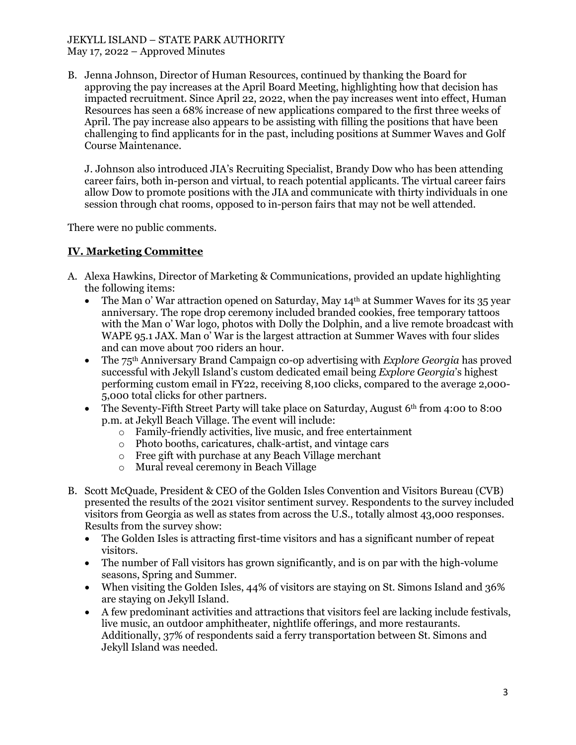#### JEKYLL ISLAND – STATE PARK AUTHORITY May 17, 2022 – Approved Minutes

B. Jenna Johnson, Director of Human Resources, continued by thanking the Board for approving the pay increases at the April Board Meeting, highlighting how that decision has impacted recruitment. Since April 22, 2022, when the pay increases went into effect, Human Resources has seen a 68% increase of new applications compared to the first three weeks of April. The pay increase also appears to be assisting with filling the positions that have been challenging to find applicants for in the past, including positions at Summer Waves and Golf Course Maintenance.

J. Johnson also introduced JIA's Recruiting Specialist, Brandy Dow who has been attending career fairs, both in-person and virtual, to reach potential applicants. The virtual career fairs allow Dow to promote positions with the JIA and communicate with thirty individuals in one session through chat rooms, opposed to in-person fairs that may not be well attended.

There were no public comments.

# **IV. Marketing Committee**

- A. Alexa Hawkins, Director of Marketing & Communications, provided an update highlighting the following items:
	- The Man o' War attraction opened on Saturday, May  $14<sup>th</sup>$  at Summer Waves for its 35 year anniversary. The rope drop ceremony included branded cookies, free temporary tattoos with the Man o' War logo, photos with Dolly the Dolphin, and a live remote broadcast with WAPE 95.1 JAX. Man o' War is the largest attraction at Summer Waves with four slides and can move about 700 riders an hour.
	- The 75th Anniversary Brand Campaign co-op advertising with *Explore Georgia* has proved successful with Jekyll Island's custom dedicated email being *Explore Georgia*'s highest performing custom email in FY22, receiving 8,100 clicks, compared to the average 2,000- 5,000 total clicks for other partners.
	- The Seventy-Fifth Street Party will take place on Saturday, August  $6<sup>th</sup>$  from 4:00 to 8:00 p.m. at Jekyll Beach Village. The event will include:
		- o Family-friendly activities, live music, and free entertainment
		- o Photo booths, caricatures, chalk-artist, and vintage cars
		- o Free gift with purchase at any Beach Village merchant
		- o Mural reveal ceremony in Beach Village
- B. Scott McQuade, President & CEO of the Golden Isles Convention and Visitors Bureau (CVB) presented the results of the 2021 visitor sentiment survey. Respondents to the survey included visitors from Georgia as well as states from across the U.S., totally almost 43,000 responses. Results from the survey show:
	- The Golden Isles is attracting first-time visitors and has a significant number of repeat visitors.
	- The number of Fall visitors has grown significantly, and is on par with the high-volume seasons, Spring and Summer.
	- When visiting the Golden Isles, 44% of visitors are staying on St. Simons Island and 36% are staying on Jekyll Island.
	- A few predominant activities and attractions that visitors feel are lacking include festivals, live music, an outdoor amphitheater, nightlife offerings, and more restaurants. Additionally, 37% of respondents said a ferry transportation between St. Simons and Jekyll Island was needed.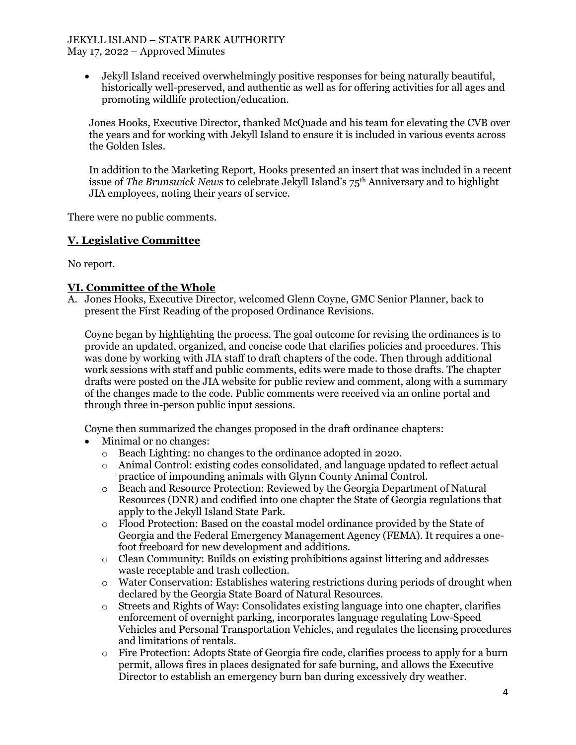#### JEKYLL ISLAND – STATE PARK AUTHORITY May 17, 2022 – Approved Minutes

• Jekyll Island received overwhelmingly positive responses for being naturally beautiful, historically well-preserved, and authentic as well as for offering activities for all ages and promoting wildlife protection/education.

Jones Hooks, Executive Director, thanked McQuade and his team for elevating the CVB over the years and for working with Jekyll Island to ensure it is included in various events across the Golden Isles.

In addition to the Marketing Report, Hooks presented an insert that was included in a recent issue of *The Brunswick News* to celebrate Jekyll Island's 75th Anniversary and to highlight JIA employees, noting their years of service.

There were no public comments.

## **V. Legislative Committee**

No report.

## **VI. Committee of the Whole**

A. Jones Hooks, Executive Director, welcomed Glenn Coyne, GMC Senior Planner, back to present the First Reading of the proposed Ordinance Revisions.

Coyne began by highlighting the process. The goal outcome for revising the ordinances is to provide an updated, organized, and concise code that clarifies policies and procedures. This was done by working with JIA staff to draft chapters of the code. Then through additional work sessions with staff and public comments, edits were made to those drafts. The chapter drafts were posted on the JIA website for public review and comment, along with a summary of the changes made to the code. Public comments were received via an online portal and through three in-person public input sessions.

Coyne then summarized the changes proposed in the draft ordinance chapters:

- Minimal or no changes:
	- o Beach Lighting: no changes to the ordinance adopted in 2020.
	- o Animal Control: existing codes consolidated, and language updated to reflect actual practice of impounding animals with Glynn County Animal Control.
	- o Beach and Resource Protection: Reviewed by the Georgia Department of Natural Resources (DNR) and codified into one chapter the State of Georgia regulations that apply to the Jekyll Island State Park.
	- o Flood Protection: Based on the coastal model ordinance provided by the State of Georgia and the Federal Emergency Management Agency (FEMA). It requires a onefoot freeboard for new development and additions.
	- o Clean Community: Builds on existing prohibitions against littering and addresses waste receptable and trash collection.
	- o Water Conservation: Establishes watering restrictions during periods of drought when declared by the Georgia State Board of Natural Resources.
	- o Streets and Rights of Way: Consolidates existing language into one chapter, clarifies enforcement of overnight parking, incorporates language regulating Low-Speed Vehicles and Personal Transportation Vehicles, and regulates the licensing procedures and limitations of rentals.
	- o Fire Protection: Adopts State of Georgia fire code, clarifies process to apply for a burn permit, allows fires in places designated for safe burning, and allows the Executive Director to establish an emergency burn ban during excessively dry weather.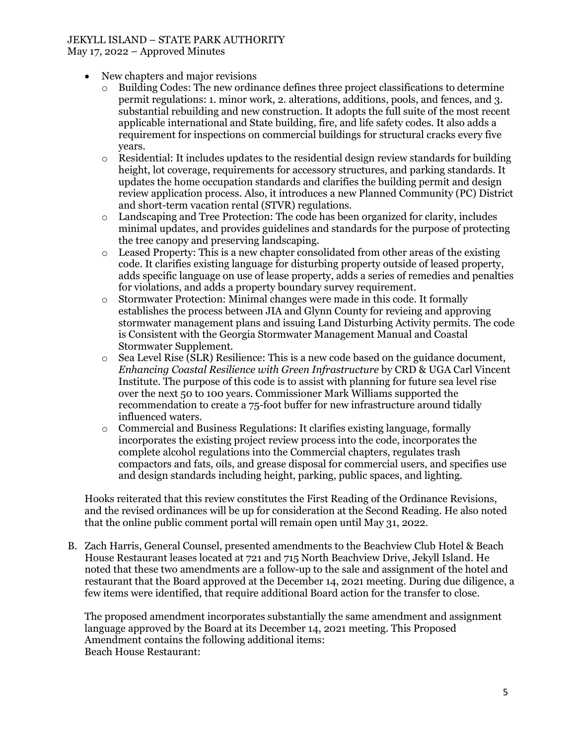## JEKYLL ISLAND – STATE PARK AUTHORITY

May 17, 2022 – Approved Minutes

- New chapters and major revisions
	- $\circ$  Building Codes: The new ordinance defines three project classifications to determine permit regulations: 1. minor work, 2. alterations, additions, pools, and fences, and 3. substantial rebuilding and new construction. It adopts the full suite of the most recent applicable international and State building, fire, and life safety codes. It also adds a requirement for inspections on commercial buildings for structural cracks every five years.
	- $\circ$  Residential: It includes updates to the residential design review standards for building height, lot coverage, requirements for accessory structures, and parking standards. It updates the home occupation standards and clarifies the building permit and design review application process. Also, it introduces a new Planned Community (PC) District and short-term vacation rental (STVR) regulations.
	- o Landscaping and Tree Protection: The code has been organized for clarity, includes minimal updates, and provides guidelines and standards for the purpose of protecting the tree canopy and preserving landscaping.
	- $\circ$  Leased Property: This is a new chapter consolidated from other areas of the existing code. It clarifies existing language for disturbing property outside of leased property, adds specific language on use of lease property, adds a series of remedies and penalties for violations, and adds a property boundary survey requirement.
	- o Stormwater Protection: Minimal changes were made in this code. It formally establishes the process between JIA and Glynn County for revieing and approving stormwater management plans and issuing Land Disturbing Activity permits. The code is Consistent with the Georgia Stormwater Management Manual and Coastal Stormwater Supplement.
	- $\circ$  Sea Level Rise (SLR) Resilience: This is a new code based on the guidance document, *Enhancing Coastal Resilience with Green Infrastructure* by CRD & UGA Carl Vincent Institute. The purpose of this code is to assist with planning for future sea level rise over the next 50 to 100 years. Commissioner Mark Williams supported the recommendation to create a 75-foot buffer for new infrastructure around tidally influenced waters.
	- $\circ$  Commercial and Business Regulations: It clarifies existing language, formally incorporates the existing project review process into the code, incorporates the complete alcohol regulations into the Commercial chapters, regulates trash compactors and fats, oils, and grease disposal for commercial users, and specifies use and design standards including height, parking, public spaces, and lighting.

Hooks reiterated that this review constitutes the First Reading of the Ordinance Revisions, and the revised ordinances will be up for consideration at the Second Reading. He also noted that the online public comment portal will remain open until May 31, 2022.

B. Zach Harris, General Counsel, presented amendments to the Beachview Club Hotel & Beach House Restaurant leases located at 721 and 715 North Beachview Drive, Jekyll Island. He noted that these two amendments are a follow-up to the sale and assignment of the hotel and restaurant that the Board approved at the December 14, 2021 meeting. During due diligence, a few items were identified, that require additional Board action for the transfer to close.

The proposed amendment incorporates substantially the same amendment and assignment language approved by the Board at its December 14, 2021 meeting. This Proposed Amendment contains the following additional items: Beach House Restaurant: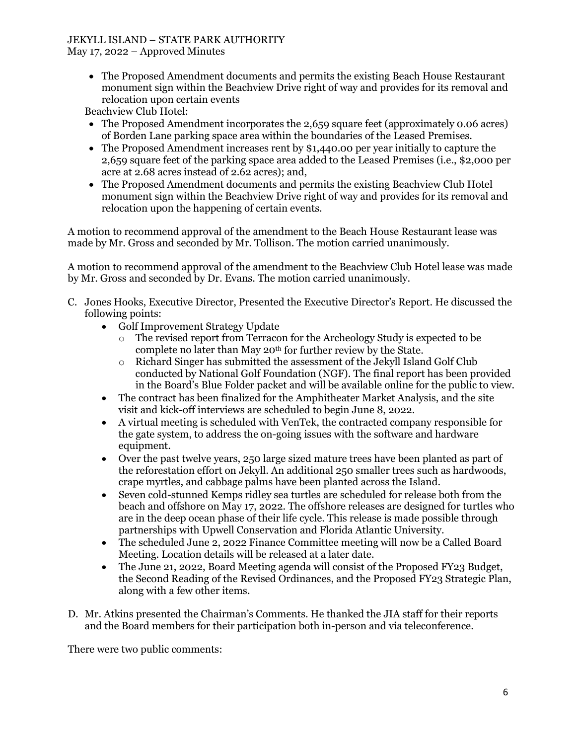## JEKYLL ISLAND – STATE PARK AUTHORITY

May 17, 2022 – Approved Minutes

• The Proposed Amendment documents and permits the existing Beach House Restaurant monument sign within the Beachview Drive right of way and provides for its removal and relocation upon certain events

Beachview Club Hotel:

- The Proposed Amendment incorporates the 2,659 square feet (approximately 0.06 acres) of Borden Lane parking space area within the boundaries of the Leased Premises.
- The Proposed Amendment increases rent by \$1,440.00 per year initially to capture the 2,659 square feet of the parking space area added to the Leased Premises (i.e., \$2,000 per acre at 2.68 acres instead of 2.62 acres); and,
- The Proposed Amendment documents and permits the existing Beachview Club Hotel monument sign within the Beachview Drive right of way and provides for its removal and relocation upon the happening of certain events.

A motion to recommend approval of the amendment to the Beach House Restaurant lease was made by Mr. Gross and seconded by Mr. Tollison. The motion carried unanimously.

A motion to recommend approval of the amendment to the Beachview Club Hotel lease was made by Mr. Gross and seconded by Dr. Evans. The motion carried unanimously.

- C. Jones Hooks, Executive Director, Presented the Executive Director's Report. He discussed the following points:
	- Golf Improvement Strategy Update
		- o The revised report from Terracon for the Archeology Study is expected to be complete no later than May 20th for further review by the State.
		- $\circ$  Richard Singer has submitted the assessment of the Jekyll Island Golf Club conducted by National Golf Foundation (NGF). The final report has been provided in the Board's Blue Folder packet and will be available online for the public to view.
	- The contract has been finalized for the Amphitheater Market Analysis, and the site visit and kick-off interviews are scheduled to begin June 8, 2022.
	- A virtual meeting is scheduled with VenTek, the contracted company responsible for the gate system, to address the on-going issues with the software and hardware equipment.
	- Over the past twelve years, 250 large sized mature trees have been planted as part of the reforestation effort on Jekyll. An additional 250 smaller trees such as hardwoods, crape myrtles, and cabbage palms have been planted across the Island.
	- Seven cold-stunned Kemps ridley sea turtles are scheduled for release both from the beach and offshore on May 17, 2022. The offshore releases are designed for turtles who are in the deep ocean phase of their life cycle. This release is made possible through partnerships with Upwell Conservation and Florida Atlantic University.
	- The scheduled June 2, 2022 Finance Committee meeting will now be a Called Board Meeting. Location details will be released at a later date.
	- The June 21, 2022, Board Meeting agenda will consist of the Proposed FY23 Budget, the Second Reading of the Revised Ordinances, and the Proposed FY23 Strategic Plan, along with a few other items.
- D. Mr. Atkins presented the Chairman's Comments. He thanked the JIA staff for their reports and the Board members for their participation both in-person and via teleconference.

There were two public comments: